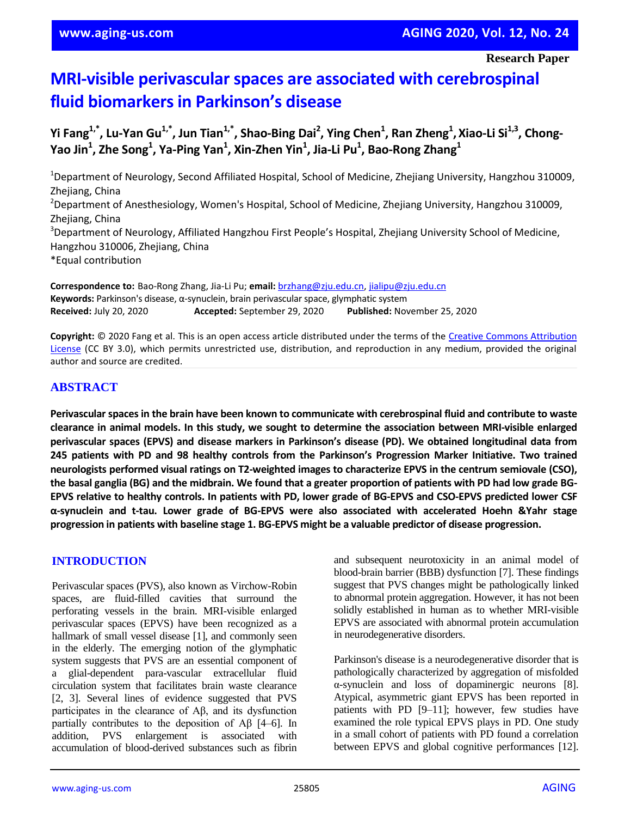# **MRI-visible perivascular spaces are associated with cerebrospinal fluid biomarkers in Parkinson's disease**

Yi Fang $^{1, *}$ , Lu-Yan Gu $^{1, *}$ , Jun Tian $^{1, *}$ , Shao-Bing Dai $^2$ , Ying Chen $^1$ , Ran Zheng $^1$ , Xiao-Li Si $^{1, 3}$ , Chong-**Yao Jin<sup>1</sup> , Zhe Song<sup>1</sup> , Ya-Ping Yan<sup>1</sup> , Xin-Zhen Yin<sup>1</sup> , Jia-Li Pu<sup>1</sup> , Bao-Rong Zhang<sup>1</sup>**

<sup>1</sup>Department of Neurology, Second Affiliated Hospital, School of Medicine, Zhejiang University, Hangzhou 310009, Zhejiang, China <sup>2</sup>Department of Anesthesiology, Women's Hospital, School of Medicine, Zhejiang University, Hangzhou 310009, Zhejiang, China <sup>3</sup>Department of Neurology, Affiliated Hangzhou First People's Hospital, Zhejiang University School of Medicine, Hangzhou 310006, Zhejiang, China \*Equal contribution

**Correspondence to:** Bao-Rong Zhang, Jia-Li Pu; **email:** brzhang@zju.edu.cn, jialipu@zju.edu.cn **Keywords:** Parkinson's disease, α-synuclein, brain perivascular space, glymphatic system **Received:** July 20, 2020 **Accepted:** September 29, 2020 **Published:** November 25, 2020

**Copyright:** © 2020 Fang et al. This is an open access article distributed under the terms of the Creative Commons Attribution License (CC BY 3.0), which permits unrestricted use, distribution, and reproduction in any medium, provided the original author and source are credited.

# **ABSTRACT**

**Perivascular spacesin the brain have been known to communicate with cerebrospinal fluid and contribute to waste clearance in animal models. In this study, we sought to determine the association between MRI-visible enlarged perivascular spaces (EPVS) and disease markers in Parkinson's disease (PD). We obtained longitudinal data from 245 patients with PD and 98 healthy controls from the Parkinson's Progression Marker Initiative. Two trained neurologists performed visual ratings on T2-weighted images to characterize EPVS in the centrum semiovale (CSO),** the basal ganglia (BG) and the midbrain. We found that a greater proportion of patients with PD had low grade BG-EPVS relative to healthy controls. In patients with PD, lower grade of BG-EPVS and CSO-EPVS predicted lower CSF **α-synuclein and t-tau. Lower grade of BG-EPVS were also associated with accelerated Hoehn &Yahr stage progression in patients with baseline stage 1. BG-EPVS might be a valuable predictor of disease progression.**

# **INTRODUCTION**

Perivascular spaces (PVS), also known as Virchow-Robin spaces, are fluid-filled cavities that surround the perforating vessels in the brain. MRI-visible enlarged perivascular spaces (EPVS) have been recognized as a hallmark of small vessel disease [1], and commonly seen in the elderly. The emerging notion of the glymphatic system suggests that PVS are an essential component of a glial-dependent para-vascular extracellular fluid circulation system that facilitates brain waste clearance [2, 3]. Several lines of evidence suggested that PVS participates in the clearance of Aβ, and its dysfunction partially contributes to the deposition of Aβ [4–6]. In addition, PVS enlargement is associated with accumulation of blood-derived substances such as fibrin and subsequent neurotoxicity in an animal model of blood-brain barrier (BBB) dysfunction [7]. These findings suggest that PVS changes might be pathologically linked to abnormal protein aggregation. However, it has not been solidly established in human as to whether MRI-visible EPVS are associated with abnormal protein accumulation in neurodegenerative disorders.

Parkinson's disease is a neurodegenerative disorder that is pathologically characterized by aggregation of misfolded α-synuclein and loss of dopaminergic neurons [8]. Atypical, asymmetric giant EPVS has been reported in patients with PD [9–11]; however, few studies have examined the role typical EPVS plays in PD. One study in a small cohort of patients with PD found a correlation between EPVS and global cognitive performances [12].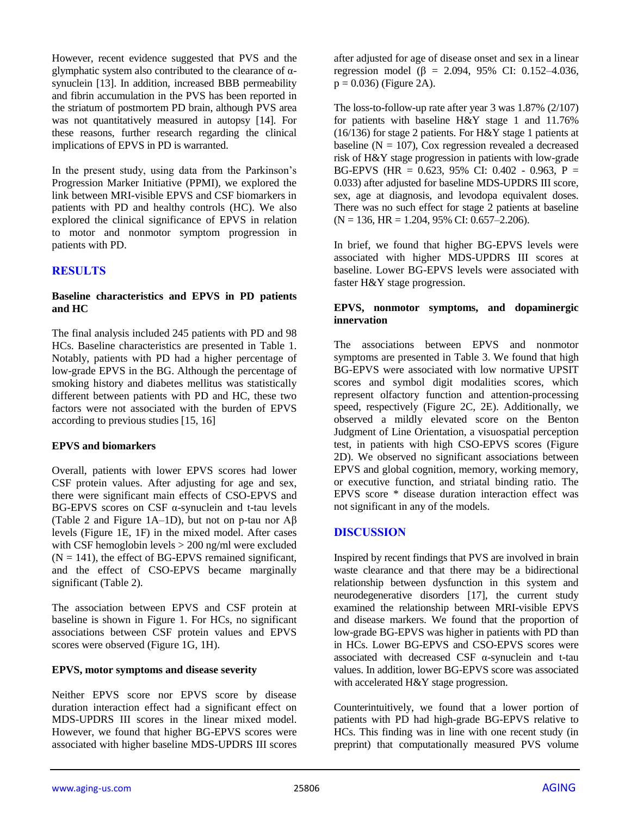However, recent evidence suggested that PVS and the glymphatic system also contributed to the clearance of αsynuclein [13]. In addition, increased BBB permeability and fibrin accumulation in the PVS has been reported in the striatum of postmortem PD brain, although PVS area was not quantitatively measured in autopsy [14]. For these reasons, further research regarding the clinical implications of EPVS in PD is warranted.

In the present study, using data from the Parkinson's Progression Marker Initiative (PPMI), we explored the link between MRI-visible EPVS and CSF biomarkers in patients with PD and healthy controls (HC). We also explored the clinical significance of EPVS in relation to motor and nonmotor symptom progression in patients with PD.

# **RESULTS**

## **Baseline characteristics and EPVS in PD patients and HC**

The final analysis included 245 patients with PD and 98 HCs. Baseline characteristics are presented in Table 1. Notably, patients with PD had a higher percentage of low-grade EPVS in the BG. Although the percentage of smoking history and diabetes mellitus was statistically different between patients with PD and HC, these two factors were not associated with the burden of EPVS according to previous studies [15, 16]

#### **EPVS and biomarkers**

Overall, patients with lower EPVS scores had lower CSF protein values. After adjusting for age and sex, there were significant main effects of CSO-EPVS and BG-EPVS scores on CSF α-synuclein and t-tau levels (Table 2 and Figure 1A–1D), but not on p-tau nor Aβ levels (Figure 1E, 1F) in the mixed model. After cases with CSF hemoglobin levels > 200 ng/ml were excluded  $(N = 141)$ , the effect of BG-EPVS remained significant, and the effect of CSO-EPVS became marginally significant (Table 2).

The association between EPVS and CSF protein at baseline is shown in Figure 1. For HCs, no significant associations between CSF protein values and EPVS scores were observed (Figure 1G, 1H).

#### **EPVS, motor symptoms and disease severity**

Neither EPVS score nor EPVS score by disease duration interaction effect had a significant effect on MDS-UPDRS III scores in the linear mixed model. However, we found that higher BG-EPVS scores were associated with higher baseline MDS-UPDRS III scores

after adjusted for age of disease onset and sex in a linear regression model (β = 2.094, 95% CI: 0.152–4.036,  $p = 0.036$ ) (Figure 2A).

The loss-to-follow-up rate after year 3 was 1.87% (2/107) for patients with baseline  $H\&Y$  stage 1 and 11.76% (16/136) for stage 2 patients. For H&Y stage 1 patients at baseline ( $N = 107$ ), Cox regression revealed a decreased risk of H&Y stage progression in patients with low-grade BG-EPVS (HR =  $0.623$ , 95% CI: 0.402 - 0.963, P = 0.033) after adjusted for baseline MDS-UPDRS III score, sex, age at diagnosis, and levodopa equivalent doses. There was no such effect for stage 2 patients at baseline  $(N = 136, HR = 1.204, 95\% \text{ CI: } 0.657 - 2.206).$ 

In brief, we found that higher BG-EPVS levels were associated with higher MDS-UPDRS III scores at baseline. Lower BG-EPVS levels were associated with faster H&Y stage progression.

#### **EPVS, nonmotor symptoms, and dopaminergic innervation**

The associations between EPVS and nonmotor symptoms are presented in Table 3. We found that high BG-EPVS were associated with low normative UPSIT scores and symbol digit modalities scores, which represent olfactory function and attention-processing speed, respectively (Figure 2C, 2E). Additionally, we observed a mildly elevated score on the Benton Judgment of Line Orientation, a visuospatial perception test, in patients with high CSO-EPVS scores (Figure 2D). We observed no significant associations between EPVS and global cognition, memory, working memory, or executive function, and striatal binding ratio. The EPVS score \* disease duration interaction effect was not significant in any of the models.

# **DISCUSSION**

Inspired by recent findings that PVS are involved in brain waste clearance and that there may be a bidirectional relationship between dysfunction in this system and neurodegenerative disorders [17], the current study examined the relationship between MRI-visible EPVS and disease markers. We found that the proportion of low-grade BG-EPVS was higher in patients with PD than in HCs. Lower BG-EPVS and CSO-EPVS scores were associated with decreased CSF α-synuclein and t-tau values. In addition, lower BG-EPVS score was associated with accelerated H&Y stage progression.

Counterintuitively, we found that a lower portion of patients with PD had high-grade BG-EPVS relative to HCs. This finding was in line with one recent study (in preprint) that computationally measured PVS volume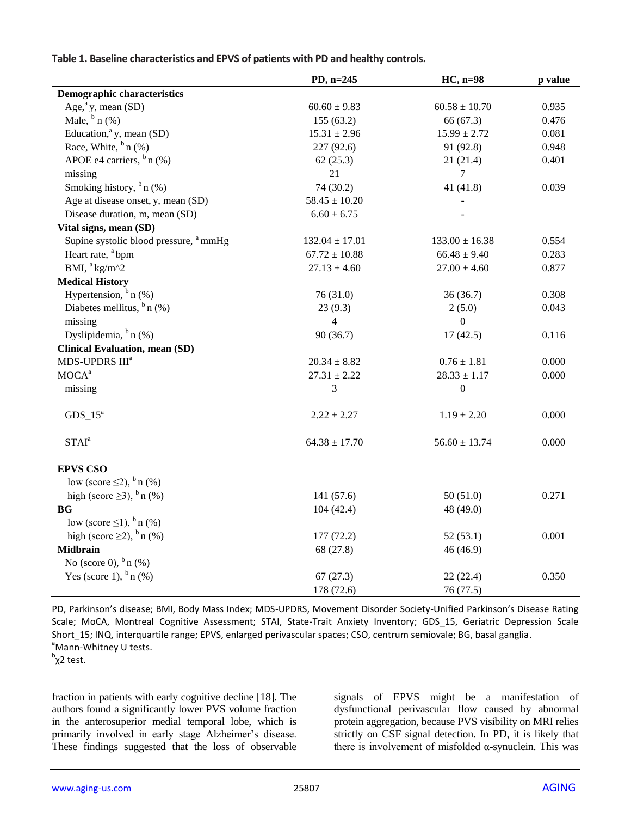| Table 1. Baseline characteristics and EPVS of patients with PD and healthy controls. |  |  |
|--------------------------------------------------------------------------------------|--|--|
|--------------------------------------------------------------------------------------|--|--|

|                                                   | PD, n=245          | $HC$ , n=98        | p value |
|---------------------------------------------------|--------------------|--------------------|---------|
| <b>Demographic characteristics</b>                |                    |                    |         |
| Age, $a$ <sup>a</sup> y, mean (SD)                | $60.60 \pm 9.83$   | $60.58\pm10.70$    | 0.935   |
| Male, $\frac{b}{n}$ (%)                           | 155(63.2)          | 66 (67.3)          | 0.476   |
| Education, <sup>a</sup> y, mean (SD)              | $15.31 \pm 2.96$   | $15.99 \pm 2.72$   | 0.081   |
| Race, White, $b_n$ (%)                            | 227 (92.6)         | 91 (92.8)          | 0.948   |
| APOE e4 carriers, $\frac{b}{n}$ (%)               | 62(25.3)           | 21(21.4)           | 0.401   |
| missing                                           | 21                 | $\tau$             |         |
| Smoking history, $\frac{b}{n}$ (%)                | 74 (30.2)          | 41 $(41.8)$        | 0.039   |
| Age at disease onset, y, mean (SD)                | $58.45 \pm 10.20$  |                    |         |
| Disease duration, m, mean (SD)                    | $6.60 \pm 6.75$    |                    |         |
| Vital signs, mean (SD)                            |                    |                    |         |
| Supine systolic blood pressure, <sup>a</sup> mmHg | $132.04 \pm 17.01$ | $133.00 \pm 16.38$ | 0.554   |
| Heart rate, <sup>a</sup> bpm                      | $67.72 \pm 10.88$  | $66.48 \pm 9.40$   | 0.283   |
| BMI, <sup>a</sup> kg/m^2                          | $27.13 \pm 4.60$   | $27.00 \pm 4.60$   | 0.877   |
| <b>Medical History</b>                            |                    |                    |         |
| Hypertension, $b_n$ (%)                           | 76(31.0)           | 36(36.7)           | 0.308   |
| Diabetes mellitus, $b_n$ (%)                      | 23(9.3)            | 2(5.0)             | 0.043   |
| missing                                           | $\overline{4}$     | $\boldsymbol{0}$   |         |
| Dyslipidemia, $b_n$ (%)                           | 90 (36.7)          | 17(42.5)           | 0.116   |
| <b>Clinical Evaluation, mean (SD)</b>             |                    |                    |         |
| MDS-UPDRS III <sup>a</sup>                        | $20.34 \pm 8.82$   | $0.76 \pm 1.81$    | 0.000   |
| $MOCA^a$                                          | $27.31 \pm 2.22$   | $28.33 \pm 1.17$   | 0.000   |
| missing                                           | 3                  | $\boldsymbol{0}$   |         |
|                                                   |                    |                    |         |
| $GDS_15^a$                                        | $2.22 \pm 2.27$    | $1.19 \pm 2.20$    | 0.000   |
| STAT <sup>a</sup>                                 | $64.38 \pm 17.70$  | $56.60 \pm 13.74$  | 0.000   |
| <b>EPVS CSO</b>                                   |                    |                    |         |
| low (score $\leq$ 2), $\frac{b}{n}$ (%)           |                    |                    |         |
| high (score $\geq$ 3), $\frac{b}{n}$ (%)          | 141 (57.6)         | 50(51.0)           | 0.271   |
| <b>BG</b>                                         | 104(42.4)          | 48 (49.0)          |         |
| low (score $\leq$ 1), $^b$ n (%)                  |                    |                    |         |
| high (score $\geq$ 2), $\frac{b}{n}$ (%)          | 177 (72.2)         | 52(53.1)           | 0.001   |
| <b>Midbrain</b>                                   | 68 (27.8)          | 46 (46.9)          |         |
| No (score 0), $^{b}$ n (%)                        |                    |                    |         |
| Yes (score 1), $^{b}$ n (%)                       | 67(27.3)           | 22(22.4)           | 0.350   |
|                                                   | 178 (72.6)         | 76 (77.5)          |         |

PD, Parkinson's disease; BMI, Body Mass Index; MDS-UPDRS, Movement Disorder Society-Unified Parkinson's Disease Rating Scale; MoCA, Montreal Cognitive Assessment; STAI, State-Trait Anxiety Inventory; GDS\_15, Geriatric Depression Scale Short\_15; INQ, interquartile range; EPVS, enlarged perivascular spaces; CSO, centrum semiovale; BG, basal ganglia. <sup>a</sup>Mann-Whitney U tests.

<sup>b</sup>χ2 test.

fraction in patients with early cognitive decline [18]. The authors found a significantly lower PVS volume fraction in the anterosuperior medial temporal lobe, which is primarily involved in early stage Alzheimer's disease. These findings suggested that the loss of observable signals of EPVS might be a manifestation of dysfunctional perivascular flow caused by abnormal protein aggregation, because PVS visibility on MRI relies strictly on CSF signal detection. In PD, it is likely that there is involvement of misfolded α-synuclein. This was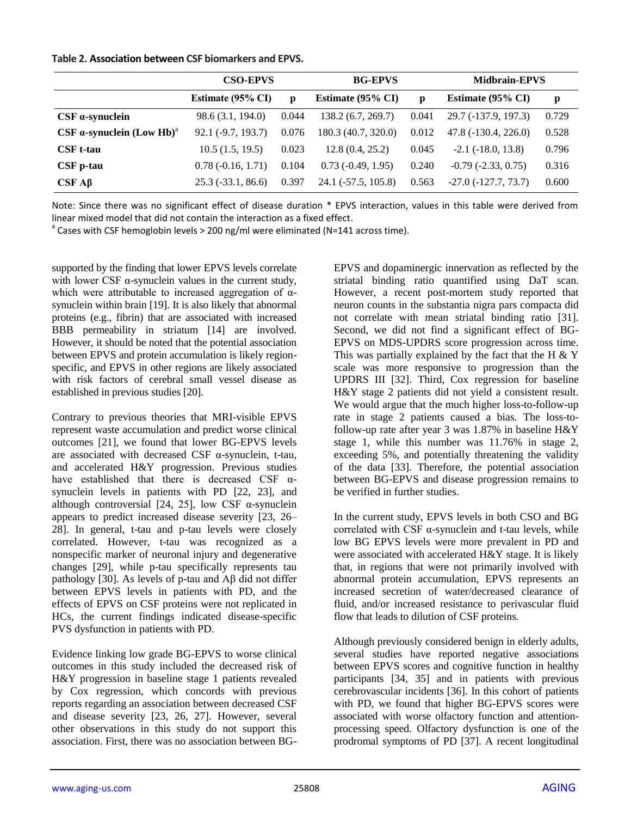## **Table 2. Association between CSF biomarkers and EPVS.**

|                                         | <b>CSO-EPVS</b>      |       | <b>BG-EPVS</b>      |       | <b>Midbrain-EPVS</b>        |       |
|-----------------------------------------|----------------------|-------|---------------------|-------|-----------------------------|-------|
|                                         | Estimate (95% CI)    | p     | Estimate (95% CI)   | p     | Estimate (95% CI)           | p     |
| $CSF$ $\alpha$ -synuclein               | 98.6 (3.1, 194.0)    | 0.044 | 138.2 (6.7, 269.7)  | 0.041 | 29.7 (-137.9, 197.3)        | 0.729 |
| $CSF$ a-synuclein (Low Hb) <sup>a</sup> | $92.1 (-9.7, 193.7)$ | 0.076 | 180.3 (40.7, 320.0) | 0.012 | $47.8(-130.4, 226.0)$       | 0.528 |
| <b>CSF</b> t-tau                        | 10.5(1.5, 19.5)      | 0.023 | 12.8(0.4, 25.2)     | 0.045 | $-2.1$ ( $-18.0$ , $13.8$ ) | 0.796 |
| CSF p-tau                               | $0.78(-0.16, 1.71)$  | 0.104 | $0.73(-0.49, 1.95)$ | 0.240 | $-0.79$ $(-2.33, 0.75)$     | 0.316 |
| $CSF$ A $\beta$                         | $25.3(-33.1, 86.6)$  | 0.397 | 24.1 (-57.5, 105.8) | 0.563 | $-27.0$ ( $-127.7, 73.7$ )  | 0.600 |

Note: Since there was no significant effect of disease duration \* EPVS interaction, values in this table were derived from linear mixed model that did not contain the interaction as a fixed effect.

 $^{\circ}$  Cases with CSF hemoglobin levels > 200 ng/ml were eliminated (N=141 across time).

supported by the finding that lower EPVS levels correlate with lower CSF  $\alpha$ -synuclein values in the current study, which were attributable to increased aggregation of  $\alpha$ synuclein within brain [19]. It is also likely that abnormal proteins (e.g., fibrin) that are associated with increased BBB permeability in striatum [14] are involved. However, it should be noted that the potential association between EPVS and protein accumulation is likely regionspecific, and EPVS in other regions are likely associated with risk factors of cerebral small vessel disease as established in previous studies [20].

Contrary to previous theories that MRI-visible EPVS represent waste accumulation and predict worse clinical outcomes [21], we found that lower BG-EPVS levels are associated with decreased CSF α-synuclein, t-tau, and accelerated H&Y progression. Previous studies have established that there is decreased CSF  $\alpha$ synuclein levels in patients with PD [22, 23], and although controversial [24, 25], low CSF α-synuclein appears to predict increased disease severity [23, 26– 28]. In general, t-tau and p-tau levels were closely correlated. However, t-tau was recognized as a nonspecific marker of neuronal injury and degenerative changes [29], while p-tau specifically represents tau pathology [30]. As levels of p-tau and Aβ did not differ between EPVS levels in patients with PD, and the effects of EPVS on CSF proteins were not replicated in HCs, the current findings indicated disease-specific PVS dysfunction in patients with PD.

Evidence linking low grade BG-EPVS to worse clinical outcomes in this study included the decreased risk of H&Y progression in baseline stage 1 patients revealed by Cox regression, which concords with previous reports regarding an association between decreased CSF and disease severity [23, 26, 27]. However, several other observations in this study do not support this association. First, there was no association between BG-

EPVS and dopaminergic innervation as reflected by the striatal binding ratio quantified using DaT scan. However, a recent post-mortem study reported that neuron counts in the substantia nigra pars compacta did not correlate with mean striatal binding ratio [31]. Second, we did not find a significant effect of BG-EPVS on MDS-UPDRS score progression across time. This was partially explained by the fact that the H  $&$  Y scale was more responsive to progression than the UPDRS III [32]. Third, Cox regression for baseline H&Y stage 2 patients did not yield a consistent result. We would argue that the much higher loss-to-follow-up rate in stage 2 patients caused a bias. The loss-tofollow-up rate after year 3 was 1.87% in baseline H&Y stage 1, while this number was 11.76% in stage 2, exceeding 5%, and potentially threatening the validity of the data [33]. Therefore, the potential association between BG-EPVS and disease progression remains to be verified in further studies.

In the current study, EPVS levels in both CSO and BG correlated with CSF α-synuclein and t-tau levels, while low BG EPVS levels were more prevalent in PD and were associated with accelerated H&Y stage. It is likely that, in regions that were not primarily involved with abnormal protein accumulation, EPVS represents an increased secretion of water/decreased clearance of fluid, and/or increased resistance to perivascular fluid flow that leads to dilution of CSF proteins.

Although previously considered benign in elderly adults, several studies have reported negative associations between EPVS scores and cognitive function in healthy participants [34, 35] and in patients with previous cerebrovascular incidents [36]. In this cohort of patients with PD, we found that higher BG-EPVS scores were associated with worse olfactory function and attentionprocessing speed. Olfactory dysfunction is one of the prodromal symptoms of PD [37]. A recent longitudinal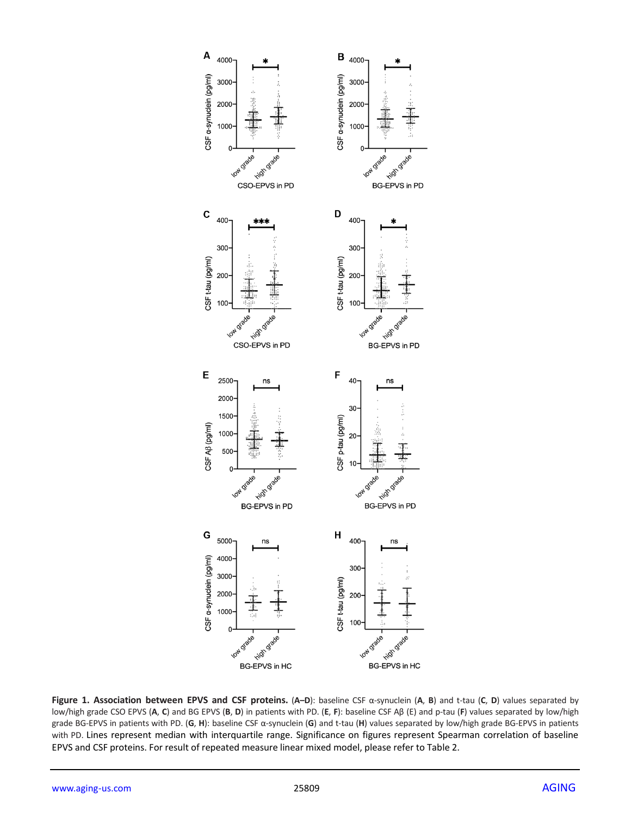

**Figure 1. Association between EPVS and CSF proteins.** (**A–D**): baseline CSF α-synuclein (**A**, **B**) and t-tau (**C**, **D**) values separated by low/high grade CSO EPVS (**A**, **C**) and BG EPVS (**B**, **D**) in patients with PD. (**E**, **F**): baseline CSF Aβ (E) and p-tau (**F**) values separated by low/high grade BG-EPVS in patients with PD. (**G**, **H**): baseline CSF α-synuclein (**G**) and t-tau (**H**) values separated by low/high grade BG-EPVS in patients with PD. Lines represent median with interquartile range. Significance on figures represent Spearman correlation of baseline EPVS and CSF proteins. For result of repeated measure linear mixed model, please refer to Table 2.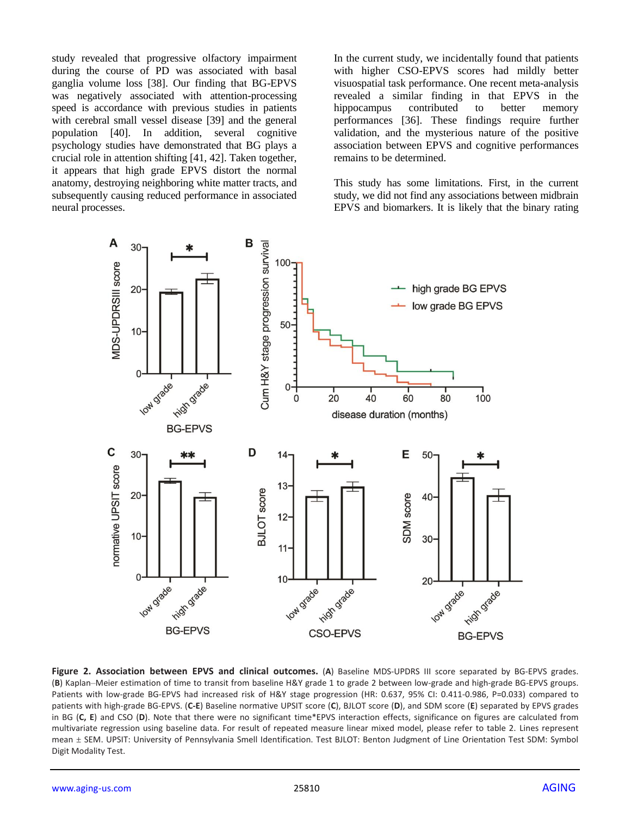study revealed that progressive olfactory impairment during the course of PD was associated with basal ganglia volume loss [38]. Our finding that BG-EPVS was negatively associated with attention-processing speed is accordance with previous studies in patients with cerebral small vessel disease [39] and the general population [40]. In addition, several cognitive psychology studies have demonstrated that BG plays a crucial role in attention shifting [41, 42]. Taken together, it appears that high grade EPVS distort the normal anatomy, destroying neighboring white matter tracts, and subsequently causing reduced performance in associated neural processes.

In the current study, we incidentally found that patients with higher CSO-EPVS scores had mildly better visuospatial task performance. One recent meta-analysis revealed a similar finding in that EPVS in the hippocampus contributed to better memory performances [36]. These findings require further validation, and the mysterious nature of the positive association between EPVS and cognitive performances remains to be determined.

This study has some limitations. First, in the current study, we did not find any associations between midbrain EPVS and biomarkers. It is likely that the binary rating



**Figure 2. Association between EPVS and clinical outcomes.** (**A**) Baseline MDS-UPDRS III score separated by BG-EPVS grades. (**B**) Kaplan–Meier estimation of time to transit from baseline H&Y grade 1 to grade 2 between low-grade and high-grade BG-EPVS groups. Patients with low-grade BG-EPVS had increased risk of H&Y stage progression (HR: 0.637, 95% CI: 0.411-0.986, P=0.033) compared to patients with high-grade BG-EPVS. (**C-E**) Baseline normative UPSIT score (**C**), BJLOT score (**D**), and SDM score (**E**) separated by EPVS grades in BG (**C, E**) and CSO (**D**). Note that there were no significant time\*EPVS interaction effects, significance on figures are calculated from multivariate regression using baseline data. For result of repeated measure linear mixed model, please refer to table 2. Lines represent mean ± SEM. UPSIT: University of Pennsylvania Smell Identification. Test BJLOT: Benton Judgment of Line Orientation Test SDM: Symbol Digit Modality Test.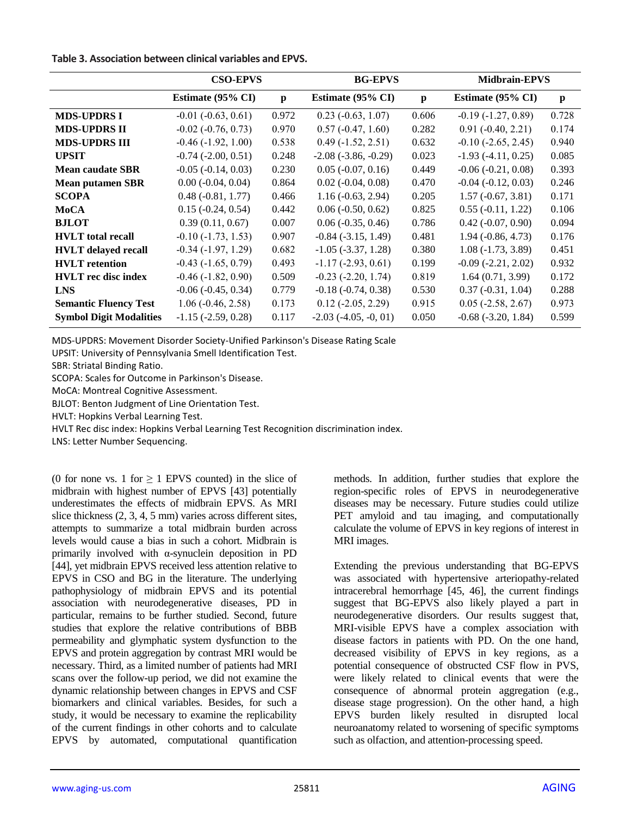| Table 3. Association between clinical variables and EPVS. |  |  |  |  |  |
|-----------------------------------------------------------|--|--|--|--|--|
|-----------------------------------------------------------|--|--|--|--|--|

|                                | <b>CSO-EPVS</b>             |              | <b>BG-EPVS</b>              |              | <b>Midbrain-EPVS</b>        |              |
|--------------------------------|-----------------------------|--------------|-----------------------------|--------------|-----------------------------|--------------|
|                                | Estimate (95% CI)           | $\mathbf{p}$ | Estimate (95% CI)           | $\mathbf{p}$ | Estimate (95% CI)           | $\mathbf{p}$ |
| <b>MDS-UPDRS I</b>             | $-0.01$ $(-0.63, 0.61)$     | 0.972        | $0.23$ ( $-0.63$ , $1.07$ ) | 0.606        | $-0.19(-1.27, 0.89)$        | 0.728        |
| <b>MDS-UPDRS II</b>            | $-0.02$ $(-0.76, 0.73)$     | 0.970        | $0.57(-0.47, 1.60)$         | 0.282        | $0.91 (-0.40, 2.21)$        | 0.174        |
| <b>MDS-UPDRS III</b>           | $-0.46$ $(-1.92, 1.00)$     | 0.538        | $0.49(-1.52, 2.51)$         | 0.632        | $-0.10$ $(-2.65, 2.45)$     | 0.940        |
| <b>UPSIT</b>                   | $-0.74$ $(-2.00, 0.51)$     | 0.248        | $-2.08$ $(-3.86, -0.29)$    | 0.023        | $-1.93(-4.11, 0.25)$        | 0.085        |
| <b>Mean caudate SBR</b>        | $-0.05$ $(-0.14, 0.03)$     | 0.230        | $0.05$ ( $-0.07, 0.16$ )    | 0.449        | $-0.06(-0.21, 0.08)$        | 0.393        |
| <b>Mean putamen SBR</b>        | $0.00$ ( $-0.04$ , $0.04$ ) | 0.864        | $0.02$ ( $-0.04$ , $0.08$ ) | 0.470        | $-0.04$ $(-0.12, 0.03)$     | 0.246        |
| <b>SCOPA</b>                   | $0.48(-0.81, 1.77)$         | 0.466        | $1.16(-0.63, 2.94)$         | 0.205        | $1.57(-0.67, 3.81)$         | 0.171        |
| MoCA                           | $0.15(-0.24, 0.54)$         | 0.442        | $0.06(-0.50, 0.62)$         | 0.825        | $0.55(-0.11, 1.22)$         | 0.106        |
| <b>BJLOT</b>                   | 0.39(0.11, 0.67)            | 0.007        | $0.06(-0.35, 0.46)$         | 0.786        | $0.42$ ( $-0.07, 0.90$ )    | 0.094        |
| <b>HVLT</b> total recall       | $-0.10(-1.73, 1.53)$        | 0.907        | $-0.84$ $(-3.15, 1.49)$     | 0.481        | $1.94 (-0.86, 4.73)$        | 0.176        |
| <b>HVLT</b> delayed recall     | $-0.34(-1.97, 1.29)$        | 0.682        | $-1.05$ $(-3.37, 1.28)$     | 0.380        | $1.08(-1.73, 3.89)$         | 0.451        |
| <b>HVLT</b> retention          | $-0.43$ $(-1.65, 0.79)$     | 0.493        | $-1.17(-2.93, 0.61)$        | 0.199        | $-0.09$ $(-2.21, 2.02)$     | 0.932        |
| <b>HVLT</b> rec disc index     | $-0.46$ $(-1.82, 0.90)$     | 0.509        | $-0.23$ $(-2.20, 1.74)$     | 0.819        | 1.64(0.71, 3.99)            | 0.172        |
| <b>LNS</b>                     | $-0.06$ $(-0.45, 0.34)$     | 0.779        | $-0.18(-0.74, 0.38)$        | 0.530        | $0.37(-0.31, 1.04)$         | 0.288        |
| <b>Semantic Fluency Test</b>   | $1.06(-0.46, 2.58)$         | 0.173        | $0.12$ ( $-2.05$ , $2.29$ ) | 0.915        | $0.05$ ( $-2.58$ , $2.67$ ) | 0.973        |
| <b>Symbol Digit Modalities</b> | $-1.15$ ( $-2.59$ , 0.28)   | 0.117        | $-2.03$ $(-4.05, -0, 01)$   | 0.050        | $-0.68$ $(-3.20, 1.84)$     | 0.599        |

MDS-UPDRS: Movement Disorder Society-Unified Parkinson's Disease Rating Scale

UPSIT: University of Pennsylvania Smell Identification Test.

SBR: Striatal Binding Ratio.

SCOPA: Scales for Outcome in Parkinson's Disease.

MoCA: Montreal Cognitive Assessment.

BJLOT: Benton Judgment of Line Orientation Test.

HVLT: Hopkins Verbal Learning Test.

HVLT Rec disc index: Hopkins Verbal Learning Test Recognition discrimination index.

LNS: Letter Number Sequencing.

(0 for none vs. 1 for  $\geq$  1 EPVS counted) in the slice of midbrain with highest number of EPVS [43] potentially underestimates the effects of midbrain EPVS. As MRI slice thickness (2, 3, 4, 5 mm) varies across different sites, attempts to summarize a total midbrain burden across levels would cause a bias in such a cohort. Midbrain is primarily involved with α-synuclein deposition in PD [44], yet midbrain EPVS received less attention relative to EPVS in CSO and BG in the literature. The underlying pathophysiology of midbrain EPVS and its potential association with neurodegenerative diseases, PD in particular, remains to be further studied. Second, future studies that explore the relative contributions of BBB permeability and glymphatic system dysfunction to the EPVS and protein aggregation by contrast MRI would be necessary. Third, as a limited number of patients had MRI scans over the follow-up period, we did not examine the dynamic relationship between changes in EPVS and CSF biomarkers and clinical variables. Besides, for such a study, it would be necessary to examine the replicability of the current findings in other cohorts and to calculate EPVS by automated, computational quantification

methods. In addition, further studies that explore the region-specific roles of EPVS in neurodegenerative diseases may be necessary. Future studies could utilize PET amyloid and tau imaging, and computationally calculate the volume of EPVS in key regions of interest in MRI images.

Extending the previous understanding that BG-EPVS was associated with hypertensive arteriopathy-related intracerebral hemorrhage [45, 46], the current findings suggest that BG-EPVS also likely played a part in neurodegenerative disorders. Our results suggest that, MRI-visible EPVS have a complex association with disease factors in patients with PD. On the one hand, decreased visibility of EPVS in key regions, as a potential consequence of obstructed CSF flow in PVS, were likely related to clinical events that were the consequence of abnormal protein aggregation (e.g., disease stage progression). On the other hand, a high EPVS burden likely resulted in disrupted local neuroanatomy related to worsening of specific symptoms such as olfaction, and attention-processing speed.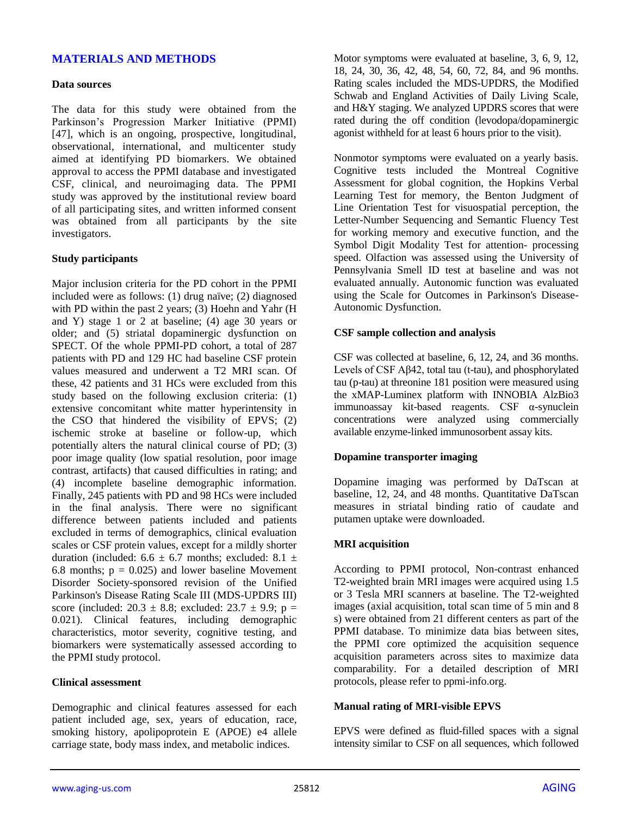# **MATERIALS AND METHODS**

#### **Data sources**

The data for this study were obtained from the Parkinson's Progression Marker Initiative (PPMI) [47], which is an ongoing, prospective, longitudinal, observational, international, and multicenter study aimed at identifying PD biomarkers. We obtained approval to access the PPMI database and investigated CSF, clinical, and neuroimaging data. The PPMI study was approved by the institutional review board of all participating sites, and written informed consent was obtained from all participants by the site investigators.

#### **Study participants**

Major inclusion criteria for the PD cohort in the PPMI included were as follows: (1) drug naïve; (2) diagnosed with PD within the past 2 years; (3) Hoehn and Yahr (H and Y) stage 1 or 2 at baseline; (4) age 30 years or older; and (5) striatal dopaminergic dysfunction on SPECT. Of the whole PPMI-PD cohort, a total of 287 patients with PD and 129 HC had baseline CSF protein values measured and underwent a T2 MRI scan. Of these, 42 patients and 31 HCs were excluded from this study based on the following exclusion criteria: (1) extensive concomitant white matter hyperintensity in the CSO that hindered the visibility of EPVS; (2) ischemic stroke at baseline or follow-up, which potentially alters the natural clinical course of PD; (3) poor image quality (low spatial resolution, poor image contrast, artifacts) that caused difficulties in rating; and (4) incomplete baseline demographic information. Finally, 245 patients with PD and 98 HCs were included in the final analysis. There were no significant difference between patients included and patients excluded in terms of demographics, clinical evaluation scales or CSF protein values, except for a mildly shorter duration (included:  $6.6 \pm 6.7$  months; excluded:  $8.1 \pm$ 6.8 months;  $p = 0.025$ ) and lower baseline Movement Disorder Society-sponsored revision of the Unified Parkinson's Disease Rating Scale III (MDS-UPDRS III) score (included:  $20.3 \pm 8.8$ ; excluded:  $23.7 \pm 9.9$ ; p = 0.021). Clinical features, including demographic characteristics, motor severity, cognitive testing, and biomarkers were systematically assessed according to the PPMI study protocol.

#### **Clinical assessment**

Demographic and clinical features assessed for each patient included age, sex, years of education, race, smoking history, apolipoprotein E (APOE) e4 allele carriage state, body mass index, and metabolic indices.

Motor symptoms were evaluated at baseline, 3, 6, 9, 12, 18, 24, 30, 36, 42, 48, 54, 60, 72, 84, and 96 months. Rating scales included the MDS-UPDRS, the Modified Schwab and England Activities of Daily Living Scale, and H&Y staging. We analyzed UPDRS scores that were rated during the off condition (levodopa/dopaminergic agonist withheld for at least 6 hours prior to the visit).

Nonmotor symptoms were evaluated on a yearly basis. Cognitive tests included the Montreal Cognitive Assessment for global cognition, the Hopkins Verbal Learning Test for memory, the Benton Judgment of Line Orientation Test for visuospatial perception, the Letter-Number Sequencing and Semantic Fluency Test for working memory and executive function, and the Symbol Digit Modality Test for attention- processing speed. Olfaction was assessed using the University of Pennsylvania Smell ID test at baseline and was not evaluated annually. Autonomic function was evaluated using the Scale for Outcomes in Parkinson's Disease-Autonomic Dysfunction.

#### **CSF sample collection and analysis**

CSF was collected at baseline, 6, 12, 24, and 36 months. Levels of CSF Aβ42, total tau (t-tau), and phosphorylated tau (p-tau) at threonine 181 position were measured using the xMAP-Luminex platform with INNOBIA AlzBio3 immunoassay kit-based reagents. CSF α-synuclein concentrations were analyzed using commercially available enzyme-linked immunosorbent assay kits.

#### **Dopamine transporter imaging**

Dopamine imaging was performed by DaTscan at baseline, 12, 24, and 48 months. Quantitative DaTscan measures in striatal binding ratio of caudate and putamen uptake were downloaded.

#### **MRI acquisition**

According to PPMI protocol, Non-contrast enhanced T2-weighted brain MRI images were acquired using 1.5 or 3 Tesla MRI scanners at baseline. The T2-weighted images (axial acquisition, total scan time of 5 min and 8 s) were obtained from 21 different centers as part of the PPMI database. To minimize data bias between sites, the PPMI core optimized the acquisition sequence acquisition parameters across sites to maximize data comparability. For a detailed description of MRI protocols, please refer to ppmi-info.org.

#### **Manual rating of MRI-visible EPVS**

EPVS were defined as fluid-filled spaces with a signal intensity similar to CSF on all sequences, which followed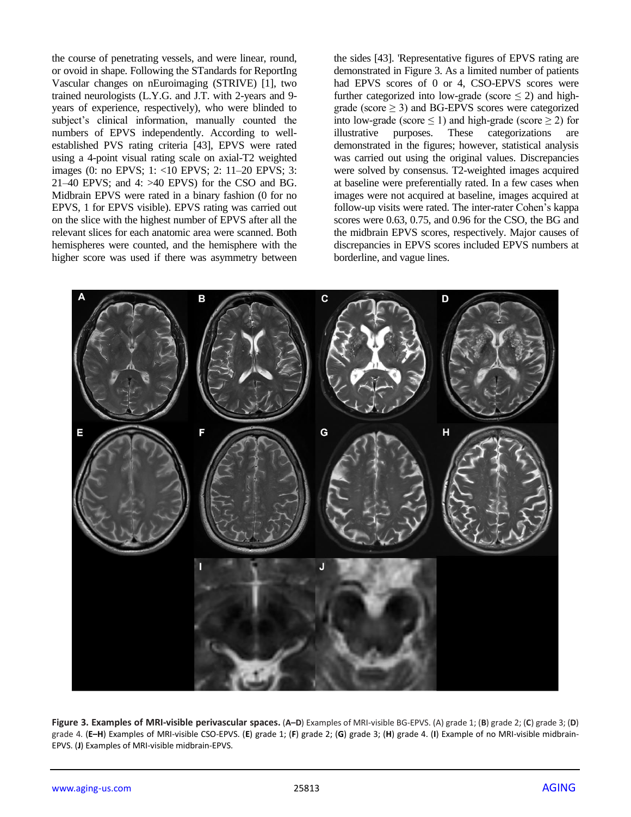the course of penetrating vessels, and were linear, round, or ovoid in shape. Following the STandards for ReportIng Vascular changes on nEuroimaging (STRIVE) [1], two trained neurologists (L.Y.G. and J.T. with 2-years and 9 years of experience, respectively), who were blinded to subject's clinical information, manually counted the numbers of EPVS independently. According to wellestablished PVS rating criteria [43], EPVS were rated using a 4-point visual rating scale on axial-T2 weighted images (0: no EPVS; 1: <10 EPVS; 2: 11–20 EPVS; 3:  $21-40$  EPVS; and  $4: >40$  EPVS) for the CSO and BG. Midbrain EPVS were rated in a binary fashion (0 for no EPVS, 1 for EPVS visible). EPVS rating was carried out on the slice with the highest number of EPVS after all the relevant slices for each anatomic area were scanned. Both hemispheres were counted, and the hemisphere with the higher score was used if there was asymmetry between the sides [43]. 'Representative figures of EPVS rating are demonstrated in Figure 3. As a limited number of patients had EPVS scores of 0 or 4, CSO-EPVS scores were further categorized into low-grade (score  $\leq$  2) and highgrade (score  $\geq$  3) and BG-EPVS scores were categorized into low-grade (score  $\leq$  1) and high-grade (score  $\geq$  2) for illustrative purposes. These categorizations are demonstrated in the figures; however, statistical analysis was carried out using the original values. Discrepancies were solved by consensus. T2-weighted images acquired at baseline were preferentially rated. In a few cases when images were not acquired at baseline, images acquired at follow-up visits were rated. The inter-rater Cohen's kappa scores were 0.63, 0.75, and 0.96 for the CSO, the BG and the midbrain EPVS scores, respectively. Major causes of discrepancies in EPVS scores included EPVS numbers at borderline, and vague lines.



**Figure 3. Examples of MRI-visible perivascular spaces.** (**A–D**) Examples of MRI-visible BG-EPVS. (A) grade 1; (**B**) grade 2; (**C**) grade 3; (**D**) grade 4. (**E–H**) Examples of MRI-visible CSO-EPVS. (**E**) grade 1; (**F**) grade 2; (**G**) grade 3; (**H**) grade 4. (**I**) Example of no MRI-visible midbrain-EPVS. (**J**) Examples of MRI-visible midbrain-EPVS.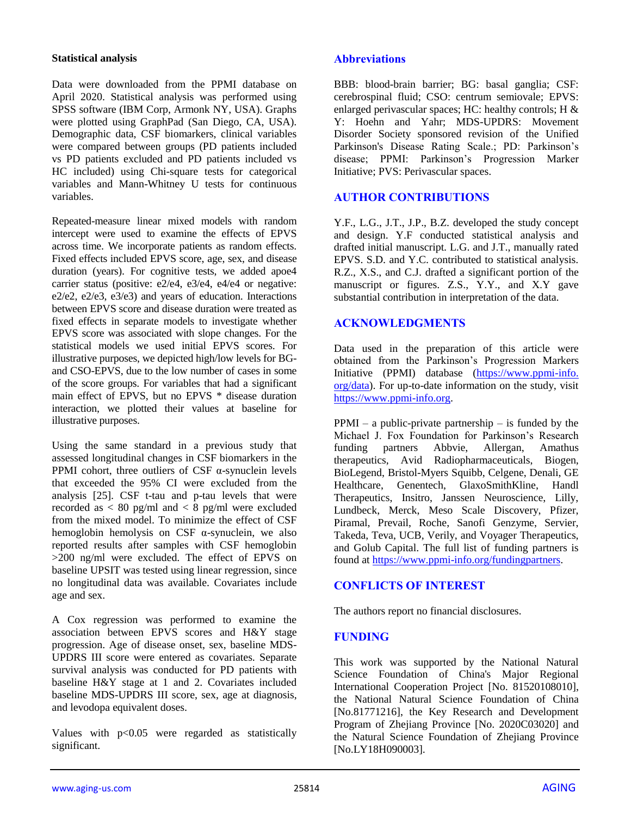# **Statistical analysis**

Data were downloaded from the PPMI database on April 2020. Statistical analysis was performed using SPSS software (IBM Corp, Armonk NY, USA). Graphs were plotted using GraphPad (San Diego, CA, USA). Demographic data, CSF biomarkers, clinical variables were compared between groups (PD patients included vs PD patients excluded and PD patients included vs HC included) using Chi-square tests for categorical variables and Mann-Whitney U tests for continuous variables.

Repeated-measure linear mixed models with random intercept were used to examine the effects of EPVS across time. We incorporate patients as random effects. Fixed effects included EPVS score, age, sex, and disease duration (years). For cognitive tests, we added apoe4 carrier status (positive: e2/e4, e3/e4, e4/e4 or negative: e2/e2, e2/e3, e3/e3) and years of education. Interactions between EPVS score and disease duration were treated as fixed effects in separate models to investigate whether EPVS score was associated with slope changes. For the statistical models we used initial EPVS scores. For illustrative purposes, we depicted high/low levels for BGand CSO-EPVS, due to the low number of cases in some of the score groups. For variables that had a significant main effect of EPVS, but no EPVS \* disease duration interaction, we plotted their values at baseline for illustrative purposes.

Using the same standard in a previous study that assessed longitudinal changes in CSF biomarkers in the PPMI cohort, three outliers of CSF α-synuclein levels that exceeded the 95% CI were excluded from the analysis [25]. CSF t-tau and p-tau levels that were recorded as < 80 pg/ml and < 8 pg/ml were excluded from the mixed model. To minimize the effect of CSF hemoglobin hemolysis on CSF  $\alpha$ -synuclein, we also reported results after samples with CSF hemoglobin  $>200$  ng/ml were excluded. The effect of EPVS on baseline UPSIT was tested using linear regression, since no longitudinal data was available. Covariates include age and sex.

A Cox regression was performed to examine the association between EPVS scores and H&Y stage progression. Age of disease onset, sex, baseline MDS-UPDRS III score were entered as covariates. Separate survival analysis was conducted for PD patients with baseline H&Y stage at 1 and 2. Covariates included baseline MDS-UPDRS III score, sex, age at diagnosis, and levodopa equivalent doses.

Values with  $p<0.05$  were regarded as statistically significant.

# **Abbreviations**

BBB: blood-brain barrier; BG: basal ganglia; CSF: cerebrospinal fluid; CSO: centrum semiovale; EPVS: enlarged perivascular spaces; HC: healthy controls; H & Y: Hoehn and Yahr; MDS-UPDRS: Movement Disorder Society sponsored revision of the Unified Parkinson's Disease Rating Scale.; PD: Parkinson's disease; PPMI: Parkinson's Progression Marker Initiative; PVS: Perivascular spaces.

# **AUTHOR CONTRIBUTIONS**

Y.F., L.G., J.T., J.P., B.Z. developed the study concept and design. Y.F conducted statistical analysis and drafted initial manuscript. L.G. and J.T., manually rated EPVS. S.D. and Y.C. contributed to statistical analysis. R.Z., X.S., and C.J. drafted a significant portion of the manuscript or figures. Z.S., Y.Y., and X.Y gave substantial contribution in interpretation of the data.

# **ACKNOWLEDGMENTS**

Data used in the preparation of this article were obtained from the Parkinson's Progression Markers Initiative (PPMI) database [\(https://www.ppmi-info.](https://www.ppmi-info.org/data) [org/data\)](https://www.ppmi-info.org/data). For up-to-date information on the study, visit [https://www.ppmi-info.org.](https://www.ppmi-info.org/)

 $PPMI - a$  public-private partnership – is funded by the Michael J. Fox Foundation for Parkinson's Research funding partners Abbvie, Allergan, Amathus therapeutics, Avid Radiopharmaceuticals, Biogen, BioLegend, Bristol-Myers Squibb, Celgene, Denali, GE Healthcare, Genentech, GlaxoSmithKline, Handl Therapeutics, Insitro, Janssen Neuroscience, Lilly, Lundbeck, Merck, Meso Scale Discovery, Pfizer, Piramal, Prevail, Roche, Sanofi Genzyme, Servier, Takeda, Teva, UCB, Verily, and Voyager Therapeutics, and Golub Capital. The full list of funding partners is found at [https://www.ppmi-info.org/fundingpartners.](https://www.ppmi-info.org/fundingpartners)

# **CONFLICTS OF INTEREST**

The authors report no financial disclosures.

# **FUNDING**

This work was supported by the National Natural Science Foundation of China's Major Regional International Cooperation Project [No. 81520108010], the National Natural Science Foundation of China [No.81771216], the Key Research and Development Program of Zhejiang Province [No. 2020C03020] and the Natural Science Foundation of Zhejiang Province [No.LY18H090003].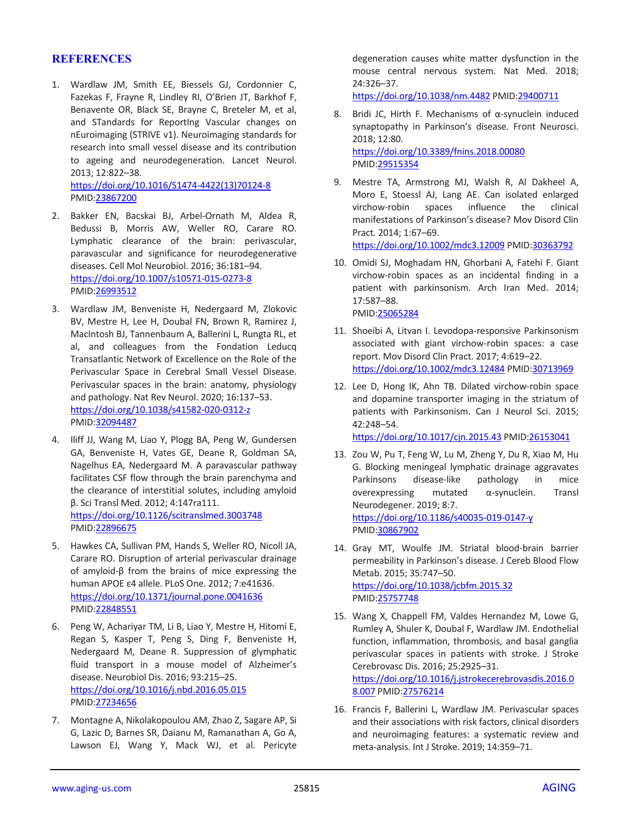# **REFERENCES**

1. Wardlaw JM, Smith EE, Biessels GJ, Cordonnier C, Fazekas F, Frayne R, Lindley RI, O'Brien JT, Barkhof F, Benavente OR, Black SE, Brayne C, Breteler M, et al, and STandards for ReportIng Vascular changes on nEuroimaging (STRIVE v1). Neuroimaging standards for research into small vessel disease and its contribution to ageing and neurodegeneration. Lancet Neurol. 2013; 12:822–38. [https://doi.org/10.1016/S1474-4422\(13\)70124-8](https://doi.org/10.1016/S1474-4422(13)70124-8)

PMID[:23867200](https://pubmed.ncbi.nlm.nih.gov/23867200)

- 2. Bakker EN, Bacskai BJ, Arbel-Ornath M, Aldea R, Bedussi B, Morris AW, Weller RO, Carare RO. Lymphatic clearance of the brain: perivascular, paravascular and significance for neurodegenerative diseases. Cell Mol Neurobiol. 2016; 36:181–94. <https://doi.org/10.1007/s10571-015-0273-8> PMID[:26993512](https://pubmed.ncbi.nlm.nih.gov/26993512)
- 3. Wardlaw JM, Benveniste H, Nedergaard M, Zlokovic BV, Mestre H, Lee H, Doubal FN, Brown R, Ramirez J, MacIntosh BJ, Tannenbaum A, Ballerini L, Rungta RL, et al, and colleagues from the Fondation Leducq Transatlantic Network of Excellence on the Role of the Perivascular Space in Cerebral Small Vessel Disease. Perivascular spaces in the brain: anatomy, physiology and pathology. Nat Rev Neurol. 2020; 16:137–53. <https://doi.org/10.1038/s41582-020-0312-z> PMID[:32094487](https://pubmed.ncbi.nlm.nih.gov/32094487)
- 4. Iliff JJ, Wang M, Liao Y, Plogg BA, Peng W, Gundersen GA, Benveniste H, Vates GE, Deane R, Goldman SA, Nagelhus EA, Nedergaard M. A paravascular pathway facilitates CSF flow through the brain parenchyma and the clearance of interstitial solutes, including amyloid β. Sci Transl Med. 2012; 4:147ra111. <https://doi.org/10.1126/scitranslmed.3003748> PMID[:22896675](https://pubmed.ncbi.nlm.nih.gov/22896675)
- 5. Hawkes CA, Sullivan PM, Hands S, Weller RO, Nicoll JA, Carare RO. Disruption of arterial perivascular drainage of amyloid-β from the brains of mice expressing the human APOE ε4 allele. PLoS One. 2012; 7:e41636. <https://doi.org/10.1371/journal.pone.0041636> PMID[:22848551](https://pubmed.ncbi.nlm.nih.gov/22848551)
- 6. Peng W, Achariyar TM, Li B, Liao Y, Mestre H, Hitomi E, Regan S, Kasper T, Peng S, Ding F, Benveniste H, Nedergaard M, Deane R. Suppression of glymphatic fluid transport in a mouse model of Alzheimer's disease. Neurobiol Dis. 2016; 93:215–25. <https://doi.org/10.1016/j.nbd.2016.05.015> PMID[:27234656](https://pubmed.ncbi.nlm.nih.gov/27234656)
- 7. Montagne A, Nikolakopoulou AM, Zhao Z, Sagare AP, Si G, Lazic D, Barnes SR, Daianu M, Ramanathan A, Go A, Lawson EJ, Wang Y, Mack WJ, et al. Pericyte

degeneration causes white matter dysfunction in the mouse central nervous system. Nat Med. 2018; 24:326–37.

<https://doi.org/10.1038/nm.4482> PMI[D:29400711](https://pubmed.ncbi.nlm.nih.gov/29400711)

- 8. Bridi JC, Hirth F. Mechanisms of α-synuclein induced synaptopathy in Parkinson's disease. Front Neurosci. 2018; 12:80. <https://doi.org/10.3389/fnins.2018.00080> PMI[D:29515354](https://pubmed.ncbi.nlm.nih.gov/29515354)
- 9. Mestre TA, Armstrong MJ, Walsh R, Al Dakheel A, Moro E, Stoessl AJ, Lang AE. Can isolated enlarged virchow-robin spaces influence the clinical manifestations of Parkinson's disease? Mov Disord Clin Pract. 2014; 1:67–69.

<https://doi.org/10.1002/mdc3.12009> PMI[D:30363792](https://pubmed.ncbi.nlm.nih.gov/30363792)

- 10. Omidi SJ, Moghadam HN, Ghorbani A, Fatehi F. Giant virchow-robin spaces as an incidental finding in a patient with parkinsonism. Arch Iran Med. 2014; 17:587–88. PMI[D:25065284](https://pubmed.ncbi.nlm.nih.gov/25065284)
- 11. Shoeibi A, Litvan I. Levodopa-responsive Parkinsonism associated with giant virchow-robin spaces: a case report. Mov Disord Clin Pract. 2017; 4:619–22. <https://doi.org/10.1002/mdc3.12484> PMI[D:30713969](https://pubmed.ncbi.nlm.nih.gov/30713969)
- 12. Lee D, Hong IK, Ahn TB. Dilated virchow-robin space and dopamine transporter imaging in the striatum of patients with Parkinsonism. Can J Neurol Sci. 2015; 42:248–54.

<https://doi.org/10.1017/cjn.2015.43> PMI[D:26153041](https://pubmed.ncbi.nlm.nih.gov/26153041)

- 13. Zou W, Pu T, Feng W, Lu M, Zheng Y, Du R, Xiao M, Hu G. Blocking meningeal lymphatic drainage aggravates Parkinsons disease-like pathology in mice overexpressing mutated α-synuclein. Transl Neurodegener. 2019; 8:7. <https://doi.org/10.1186/s40035-019-0147-y> PMI[D:30867902](https://pubmed.ncbi.nlm.nih.gov/30867902)
- 14. Gray MT, Woulfe JM. Striatal blood-brain barrier permeability in Parkinson's disease. J Cereb Blood Flow Metab. 2015; 35:747–50. <https://doi.org/10.1038/jcbfm.2015.32> PMI[D:25757748](https://pubmed.ncbi.nlm.nih.gov/25757748)
- 15. Wang X, Chappell FM, Valdes Hernandez M, Lowe G, Rumley A, Shuler K, Doubal F, Wardlaw JM. Endothelial function, inflammation, thrombosis, and basal ganglia perivascular spaces in patients with stroke. J Stroke Cerebrovasc Dis. 2016; 25:2925–31. [https://doi.org/10.1016/j.jstrokecerebrovasdis.2016.0](https://doi.org/10.1016/j.jstrokecerebrovasdis.2016.08.007) [8.007](https://doi.org/10.1016/j.jstrokecerebrovasdis.2016.08.007) PMID[:27576214](https://pubmed.ncbi.nlm.nih.gov/27576214)
- 16. Francis F, Ballerini L, Wardlaw JM. Perivascular spaces and their associations with risk factors, clinical disorders and neuroimaging features: a systematic review and meta-analysis. Int J Stroke. 2019; 14:359–71.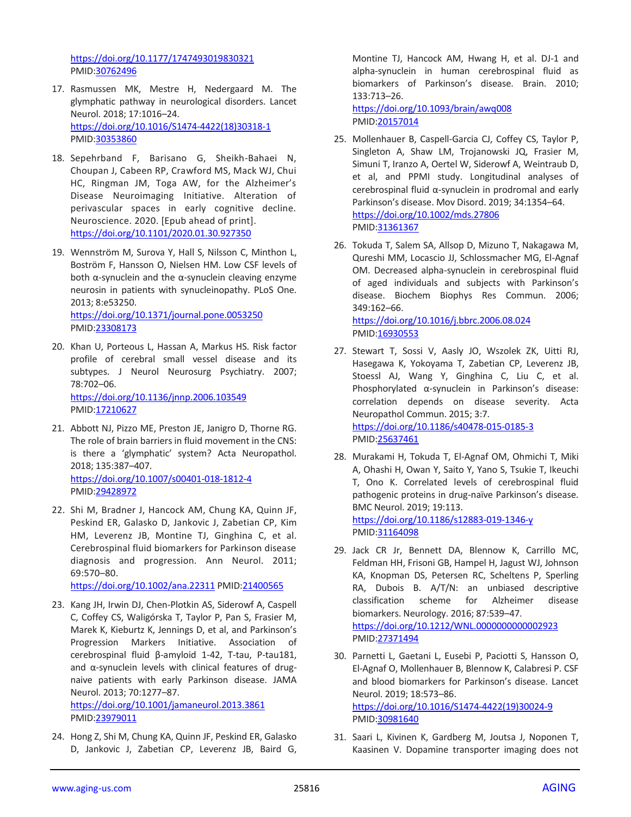<https://doi.org/10.1177/1747493019830321> PMID[:30762496](https://pubmed.ncbi.nlm.nih.gov/30762496)

- 17. Rasmussen MK, Mestre H, Nedergaard M. The glymphatic pathway in neurological disorders. Lancet Neurol. 2018; 17:1016–24. [https://doi.org/10.1016/S1474-4422\(18\)30318-1](https://doi.org/10.1016/S1474-4422(18)30318-1) PMID[:30353860](https://pubmed.ncbi.nlm.nih.gov/30353860)
- 18. Sepehrband F, Barisano G, Sheikh-Bahaei N, Choupan J, Cabeen RP, Crawford MS, Mack WJ, Chui HC, Ringman JM, Toga AW, for the Alzheimer's Disease Neuroimaging Initiative. Alteration of perivascular spaces in early cognitive decline. Neuroscience. 2020. [Epub ahead of print]. <https://doi.org/10.1101/2020.01.30.927350>
- 19. Wennström M, Surova Y, Hall S, Nilsson C, Minthon L, Boström F, Hansson O, Nielsen HM. Low CSF levels of both α-synuclein and the α-synuclein cleaving enzyme neurosin in patients with synucleinopathy. PLoS One. 2013; 8:e53250. <https://doi.org/10.1371/journal.pone.0053250>
	- PMID[:23308173](https://pubmed.ncbi.nlm.nih.gov/23308173)
- 20. Khan U, Porteous L, Hassan A, Markus HS. Risk factor profile of cerebral small vessel disease and its subtypes. J Neurol Neurosurg Psychiatry. 2007; 78:702–06. <https://doi.org/10.1136/jnnp.2006.103549>

PMID[:17210627](https://pubmed.ncbi.nlm.nih.gov/17210627)

- 21. Abbott NJ, Pizzo ME, Preston JE, Janigro D, Thorne RG. The role of brain barriers in fluid movement in the CNS: is there a 'glymphatic' system? Acta Neuropathol. 2018; 135:387–407. <https://doi.org/10.1007/s00401-018-1812-4> PMID[:29428972](https://pubmed.ncbi.nlm.nih.gov/29428972)
- 22. Shi M, Bradner J, Hancock AM, Chung KA, Quinn JF, Peskind ER, Galasko D, Jankovic J, Zabetian CP, Kim HM, Leverenz JB, Montine TJ, Ginghina C, et al. Cerebrospinal fluid biomarkers for Parkinson disease diagnosis and progression. Ann Neurol. 2011; 69:570–80.

<https://doi.org/10.1002/ana.22311> PMID[:21400565](https://pubmed.ncbi.nlm.nih.gov/21400565)

23. Kang JH, Irwin DJ, Chen-Plotkin AS, Siderowf A, Caspell C, Coffey CS, Waligórska T, Taylor P, Pan S, Frasier M, Marek K, Kieburtz K, Jennings D, et al, and Parkinson's Progression Markers Initiative. Association of cerebrospinal fluid β-amyloid 1-42, T-tau, P-tau181, and α-synuclein levels with clinical features of drugnaive patients with early Parkinson disease. JAMA Neurol. 2013; 70:1277–87.

<https://doi.org/10.1001/jamaneurol.2013.3861> PMID[:23979011](https://pubmed.ncbi.nlm.nih.gov/23979011)

24. Hong Z, Shi M, Chung KA, Quinn JF, Peskind ER, Galasko D, Jankovic J, Zabetian CP, Leverenz JB, Baird G,

Montine TJ, Hancock AM, Hwang H, et al. DJ-1 and alpha-synuclein in human cerebrospinal fluid as biomarkers of Parkinson's disease. Brain. 2010; 133:713–26.

<https://doi.org/10.1093/brain/awq008> PMI[D:20157014](https://pubmed.ncbi.nlm.nih.gov/20157014)

- 25. Mollenhauer B, Caspell-Garcia CJ, Coffey CS, Taylor P, Singleton A, Shaw LM, Trojanowski JQ, Frasier M, Simuni T, Iranzo A, Oertel W, Siderowf A, Weintraub D, et al, and PPMI study. Longitudinal analyses of cerebrospinal fluid α-synuclein in prodromal and early Parkinson's disease. Mov Disord. 2019; 34:1354–64. <https://doi.org/10.1002/mds.27806> PMID: 31361367
- 26. Tokuda T, Salem SA, Allsop D, Mizuno T, Nakagawa M, Qureshi MM, Locascio JJ, Schlossmacher MG, El-Agnaf OM. Decreased alpha-synuclein in cerebrospinal fluid of aged individuals and subjects with Parkinson's disease. Biochem Biophys Res Commun. 2006; 349:162–66.

<https://doi.org/10.1016/j.bbrc.2006.08.024> PMI[D:16930553](https://pubmed.ncbi.nlm.nih.gov/16930553)

- 27. Stewart T, Sossi V, Aasly JO, Wszolek ZK, Uitti RJ, Hasegawa K, Yokoyama T, Zabetian CP, Leverenz JB, Stoessl AJ, Wang Y, Ginghina C, Liu C, et al. Phosphorylated α-synuclein in Parkinson's disease: correlation depends on disease severity. Acta Neuropathol Commun. 2015; 3:7. <https://doi.org/10.1186/s40478-015-0185-3> PMI[D:25637461](https://pubmed.ncbi.nlm.nih.gov/25637461)
- 28. Murakami H, Tokuda T, El-Agnaf OM, Ohmichi T, Miki A, Ohashi H, Owan Y, Saito Y, Yano S, Tsukie T, Ikeuchi T, Ono K. Correlated levels of cerebrospinal fluid pathogenic proteins in drug-naïve Parkinson's disease. BMC Neurol. 2019; 19:113. <https://doi.org/10.1186/s12883-019-1346-y>

PMI[D:31164098](https://pubmed.ncbi.nlm.nih.gov/31164098)

- 29. Jack CR Jr, Bennett DA, Blennow K, Carrillo MC, Feldman HH, Frisoni GB, Hampel H, Jagust WJ, Johnson KA, Knopman DS, Petersen RC, Scheltens P, Sperling RA, Dubois B. A/T/N: an unbiased descriptive classification scheme for Alzheimer disease biomarkers. Neurology. 2016; 87:539–47. <https://doi.org/10.1212/WNL.0000000000002923> PMI[D:27371494](https://pubmed.ncbi.nlm.nih.gov/27371494)
- 30. Parnetti L, Gaetani L, Eusebi P, Paciotti S, Hansson O, El-Agnaf O, Mollenhauer B, Blennow K, Calabresi P. CSF and blood biomarkers for Parkinson's disease. Lancet Neurol. 2019; 18:573–86. [https://doi.org/10.1016/S1474-4422\(19\)30024-9](https://doi.org/10.1016/S1474-4422(19)30024-9) PMI[D:30981640](https://pubmed.ncbi.nlm.nih.gov/30981640)
- 31. Saari L, Kivinen K, Gardberg M, Joutsa J, Noponen T, Kaasinen V. Dopamine transporter imaging does not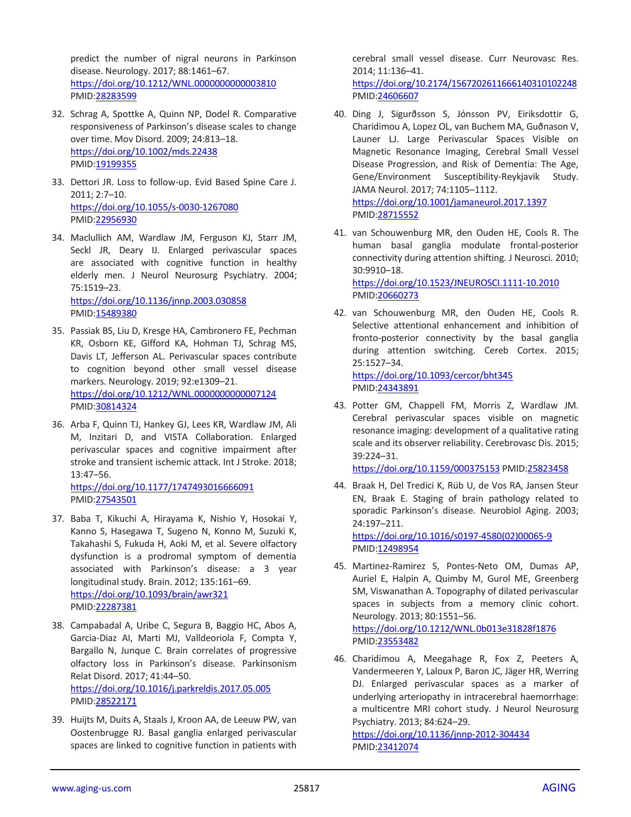predict the number of nigral neurons in Parkinson disease. Neurology. 2017; 88:1461–67. <https://doi.org/10.1212/WNL.0000000000003810> PMID[:28283599](https://pubmed.ncbi.nlm.nih.gov/28283599)

- 32. Schrag A, Spottke A, Quinn NP, Dodel R. Comparative responsiveness of Parkinson's disease scales to change over time. Mov Disord. 2009; 24:813–18. <https://doi.org/10.1002/mds.22438> PMID[:19199355](https://pubmed.ncbi.nlm.nih.gov/19199355)
- 33. Dettori JR. Loss to follow-up. Evid Based Spine Care J. 2011; 2:7–10. <https://doi.org/10.1055/s-0030-1267080> PMID[:22956930](https://pubmed.ncbi.nlm.nih.gov/22956930)
- 34. Maclullich AM, Wardlaw JM, Ferguson KJ, Starr JM, Seckl JR, Deary IJ. Enlarged perivascular spaces are associated with cognitive function in healthy elderly men. J Neurol Neurosurg Psychiatry. 2004; 75:1519–23.

<https://doi.org/10.1136/jnnp.2003.030858> PMID[:15489380](https://pubmed.ncbi.nlm.nih.gov/15489380)

- 35. Passiak BS, Liu D, Kresge HA, Cambronero FE, Pechman KR, Osborn KE, Gifford KA, Hohman TJ, Schrag MS, Davis LT, Jefferson AL. Perivascular spaces contribute to cognition beyond other small vessel disease markers. Neurology. 2019; 92:e1309–21. <https://doi.org/10.1212/WNL.0000000000007124> PMID[:30814324](https://pubmed.ncbi.nlm.nih.gov/30814324)
- 36. Arba F, Quinn TJ, Hankey GJ, Lees KR, Wardlaw JM, Ali M, Inzitari D, and VISTA Collaboration. Enlarged perivascular spaces and cognitive impairment after stroke and transient ischemic attack. Int J Stroke. 2018; 13:47–56. <https://doi.org/10.1177/1747493016666091>

PMID[:27543501](https://pubmed.ncbi.nlm.nih.gov/27543501)

- 37. Baba T, Kikuchi A, Hirayama K, Nishio Y, Hosokai Y, Kanno S, Hasegawa T, Sugeno N, Konno M, Suzuki K, Takahashi S, Fukuda H, Aoki M, et al. Severe olfactory dysfunction is a prodromal symptom of dementia associated with Parkinson's disease: a 3 year longitudinal study. Brain. 2012; 135:161–69. <https://doi.org/10.1093/brain/awr321> PMID[:22287381](https://pubmed.ncbi.nlm.nih.gov/22287381)
- 38. Campabadal A, Uribe C, Segura B, Baggio HC, Abos A, Garcia-Diaz AI, Marti MJ, Valldeoriola F, Compta Y, Bargallo N, Junque C. Brain correlates of progressive olfactory loss in Parkinson's disease. Parkinsonism Relat Disord. 2017; 41:44–50. <https://doi.org/10.1016/j.parkreldis.2017.05.005> PMID[:28522171](https://pubmed.ncbi.nlm.nih.gov/28522171)
- 39. Huijts M, Duits A, Staals J, Kroon AA, de Leeuw PW, van Oostenbrugge RJ. Basal ganglia enlarged perivascular spaces are linked to cognitive function in patients with

cerebral small vessel disease. Curr Neurovasc Res. 2014; 11:136–41.

<https://doi.org/10.2174/1567202611666140310102248> PMI[D:24606607](https://pubmed.ncbi.nlm.nih.gov/24606607)

- 40. Ding J, Sigurðsson S, Jónsson PV, Eiriksdottir G, Charidimou A, Lopez OL, van Buchem MA, Guðnason V, Launer LJ. Large Perivascular Spaces Visible on Magnetic Resonance Imaging, Cerebral Small Vessel Disease Progression, and Risk of Dementia: The Age, Gene/Environment Susceptibility-Reykjavik Study. JAMA Neurol. 2017; 74:1105–1112. <https://doi.org/10.1001/jamaneurol.2017.1397> PMI[D:28715552](https://pubmed.ncbi.nlm.nih.gov/28715552)
- 41. van Schouwenburg MR, den Ouden HE, Cools R. The human basal ganglia modulate frontal-posterior connectivity during attention shifting. J Neurosci. 2010; 30:9910–18. <https://doi.org/10.1523/JNEUROSCI.1111-10.2010> PMI[D:20660273](https://pubmed.ncbi.nlm.nih.gov/20660273)
- 42. van Schouwenburg MR, den Ouden HE, Cools R. Selective attentional enhancement and inhibition of fronto-posterior connectivity by the basal ganglia during attention switching. Cereb Cortex. 2015; 25:1527–34. <https://doi.org/10.1093/cercor/bht345>

PMI[D:24343891](https://pubmed.ncbi.nlm.nih.gov/24343891)

43. Potter GM, Chappell FM, Morris Z, Wardlaw JM. Cerebral perivascular spaces visible on magnetic resonance imaging: development of a qualitative rating scale and its observer reliability. Cerebrovasc Dis. 2015; 39:224–31.

<https://doi.org/10.1159/000375153> PMID[:25823458](https://pubmed.ncbi.nlm.nih.gov/25823458)

44. Braak H, Del Tredici K, Rüb U, de Vos RA, Jansen Steur EN, Braak E. Staging of brain pathology related to sporadic Parkinson's disease. Neurobiol Aging. 2003; 24:197–211. [https://doi.org/10.1016/s0197-4580\(02\)00065-9](https://doi.org/10.1016/s0197-4580(02)00065-9) PMI[D:12498954](https://pubmed.ncbi.nlm.nih.gov/12498954)

45. Martinez-Ramirez S, Pontes-Neto OM, Dumas AP, Auriel E, Halpin A, Quimby M, Gurol ME, Greenberg SM, Viswanathan A. Topography of dilated perivascular spaces in subjects from a memory clinic cohort. Neurology. 2013; 80:1551–56. <https://doi.org/10.1212/WNL.0b013e31828f1876> PMI[D:23553482](https://pubmed.ncbi.nlm.nih.gov/23553482)

46. Charidimou A, Meegahage R, Fox Z, Peeters A, Vandermeeren Y, Laloux P, Baron JC, Jäger HR, Werring DJ. Enlarged perivascular spaces as a marker of underlying arteriopathy in intracerebral haemorrhage: a multicentre MRI cohort study. J Neurol Neurosurg Psychiatry. 2013; 84:624–29. <https://doi.org/10.1136/jnnp-2012-304434> PMI[D:23412074](https://pubmed.ncbi.nlm.nih.gov/23412074)